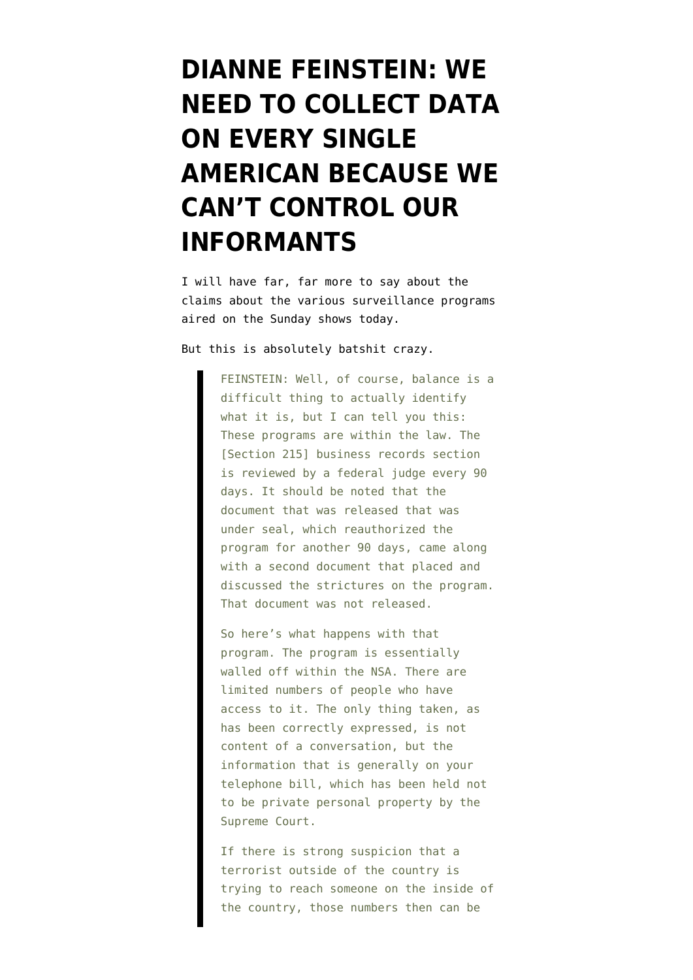## **[DIANNE FEINSTEIN: WE](https://www.emptywheel.net/2013/06/09/dianne-feinstein-we-need-to-collect-data-on-every-single-american-because-we-cant-control-our-informants/) [NEED TO COLLECT DATA](https://www.emptywheel.net/2013/06/09/dianne-feinstein-we-need-to-collect-data-on-every-single-american-because-we-cant-control-our-informants/) [ON EVERY SINGLE](https://www.emptywheel.net/2013/06/09/dianne-feinstein-we-need-to-collect-data-on-every-single-american-because-we-cant-control-our-informants/) [AMERICAN BECAUSE WE](https://www.emptywheel.net/2013/06/09/dianne-feinstein-we-need-to-collect-data-on-every-single-american-because-we-cant-control-our-informants/) [CAN'T CONTROL OUR](https://www.emptywheel.net/2013/06/09/dianne-feinstein-we-need-to-collect-data-on-every-single-american-because-we-cant-control-our-informants/) [INFORMANTS](https://www.emptywheel.net/2013/06/09/dianne-feinstein-we-need-to-collect-data-on-every-single-american-because-we-cant-control-our-informants/)**

I will have far, far more to say about the claims about the various surveillance programs aired on the Sunday shows today.

But [this](http://abcnews.go.com/Politics/week-transcript-sen-dianne-feinstein-rep-mike-rogers/story?id=19343314&page=4#.UbSTg_bipr1) is absolutely batshit crazy.

FEINSTEIN: Well, of course, balance is a difficult thing to actually identify what it is, but I can tell you this: These programs are within the law. The [Section 215] business records section is reviewed by a federal judge every 90 days. It should be noted that the document that was released that was under seal, which reauthorized the program for another 90 days, came along with a second document that placed and discussed the strictures on the program. That document was not released.

So here's what happens with that program. The program is essentially walled off within the NSA. There are limited numbers of people who have access to it. The only thing taken, as has been correctly expressed, is not content of a conversation, but the information that is generally on your telephone bill, which has been held not to be private personal property by the Supreme Court.

If there is strong suspicion that a terrorist outside of the country is trying to reach someone on the inside of the country, those numbers then can be